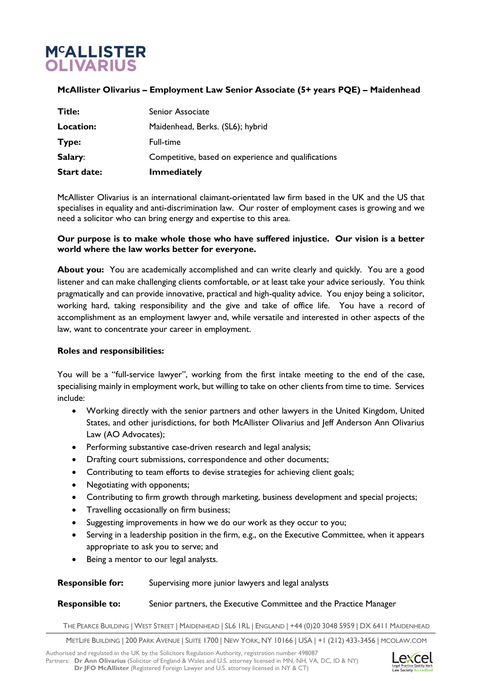# **M<sup>C</sup>ALLISTER OLIVARIUS**

## **McAllister Olivarius – Employment Law Senior Associate (5+ years PQE) – Maidenhead**

| <b>Start date:</b> | <b>Immediately</b>                                  |
|--------------------|-----------------------------------------------------|
| Salary:            | Competitive, based on experience and qualifications |
| Type:              | Full-time                                           |
| Location:          | Maidenhead, Berks. (SL6); hybrid                    |
| Title:             | Senior Associate                                    |

McAllister Olivarius is an international claimant-orientated law firm based in the UK and the US that specialises in equality and anti-discrimination law. Our roster of employment cases is growing and we need a solicitor who can bring energy and expertise to this area.

### **Our purpose is to make whole those who have suffered injustice. Our vision is a better world where the law works better for everyone.**

About you: You are academically accomplished and can write clearly and quickly. You are a good listener and can make challenging clients comfortable, or at least take your advice seriously. You think pragmatically and can provide innovative, practical and high-quality advice. You enjoy being a solicitor, working hard, taking responsibility and the give and take of office life. You have a record of accomplishment as an employment lawyer and, while versatile and interested in other aspects of the law, want to concentrate your career in employment.

#### **Roles and responsibilities:**

You will be a "full-service lawyer", working from the first intake meeting to the end of the case, specialising mainly in employment work, but willing to take on other clients from time to time. Services include:

- Working directly with the senior partners and other lawyers in the United Kingdom, United States, and other jurisdictions, for both McAllister Olivarius and Jeff Anderson Ann Olivarius Law (AO Advocates);
- Performing substantive case-driven research and legal analysis;
- Drafting court submissions, correspondence and other documents;
- Contributing to team efforts to devise strategies for achieving client goals;
- Negotiating with opponents;
- Contributing to firm growth through marketing, business development and special projects;
- Travelling occasionally on firm business;
- Suggesting improvements in how we do our work as they occur to you;
- Serving in a leadership position in the firm, e.g., on the Executive Committee, when it appears appropriate to ask you to serve; and
- Being a mentor to our legal analysts.

#### **Responsible for:** Supervising more junior lawyers and legal analysts

#### **Responsible to:** Senior partners, the Executive Committee and the Practice Manager

THE PEARCE BUILDING | WEST STREET | MAIDENHEAD | SL6 1RL | ENGLAND | +44 (0)20 3048 5959 | DX 6411 MAIDENHEAD

METLIFE BUILDING | 200 PARK AVENUE | SUITE 1700 | NEW YORK, NY 10166 | USA | +1 (212) 433-3456 | MCOLAW.COM